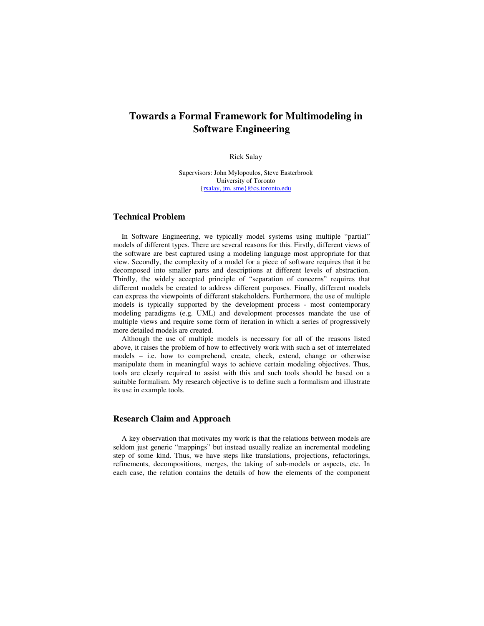# **Towards a Formal Framework for Multimodeling in Software Engineering**

### Rick Salay

Supervisors: John Mylopoulos, Steve Easterbrook University of Toronto {rsalay, jm, sme}@cs.toronto.edu

# **Technical Problem**

In Software Engineering, we typically model systems using multiple "partial" models of different types. There are several reasons for this. Firstly, different views of the software are best captured using a modeling language most appropriate for that view. Secondly, the complexity of a model for a piece of software requires that it be decomposed into smaller parts and descriptions at different levels of abstraction. Thirdly, the widely accepted principle of "separation of concerns" requires that different models be created to address different purposes. Finally, different models can express the viewpoints of different stakeholders. Furthermore, the use of multiple models is typically supported by the development process - most contemporary modeling paradigms (e.g. UML) and development processes mandate the use of multiple views and require some form of iteration in which a series of progressively more detailed models are created.

Although the use of multiple models is necessary for all of the reasons listed above, it raises the problem of how to effectively work with such a set of interrelated models – i.e. how to comprehend, create, check, extend, change or otherwise manipulate them in meaningful ways to achieve certain modeling objectives. Thus, tools are clearly required to assist with this and such tools should be based on a suitable formalism. My research objective is to define such a formalism and illustrate its use in example tools.

### **Research Claim and Approach**

A key observation that motivates my work is that the relations between models are seldom just generic "mappings" but instead usually realize an incremental modeling step of some kind. Thus, we have steps like translations, projections, refactorings, refinements, decompositions, merges, the taking of sub-models or aspects, etc. In each case, the relation contains the details of how the elements of the component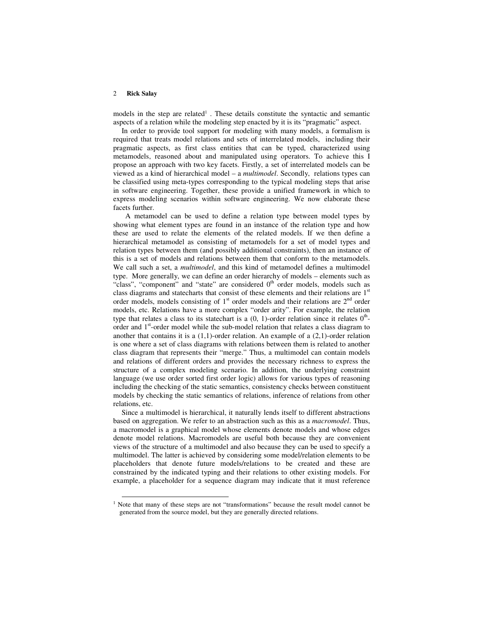#### 2 **Rick Salay**

models in the step are related<sup>1</sup>. These details constitute the syntactic and semantic aspects of a relation while the modeling step enacted by it is its "pragmatic" aspect.

In order to provide tool support for modeling with many models, a formalism is required that treats model relations and sets of interrelated models, including their pragmatic aspects, as first class entities that can be typed, characterized using metamodels, reasoned about and manipulated using operators. To achieve this I propose an approach with two key facets. Firstly, a set of interrelated models can be viewed as a kind of hierarchical model – a *multimodel*. Secondly, relations types can be classified using meta-types corresponding to the typical modeling steps that arise in software engineering. Together, these provide a unified framework in which to express modeling scenarios within software engineering. We now elaborate these facets further.

A metamodel can be used to define a relation type between model types by showing what element types are found in an instance of the relation type and how these are used to relate the elements of the related models. If we then define a hierarchical metamodel as consisting of metamodels for a set of model types and relation types between them (and possibly additional constraints), then an instance of this is a set of models and relations between them that conform to the metamodels. We call such a set, a *multimodel*, and this kind of metamodel defines a multimodel type. More generally, we can define an order hierarchy of models – elements such as "class", "component" and "state" are considered  $0<sup>th</sup>$  order models, models such as class diagrams and statecharts that consist of these elements and their relations are 1<sup>st</sup> order models, models consisting of  $1<sup>st</sup>$  order models and their relations are  $2<sup>nd</sup>$  order models, etc. Relations have a more complex "order arity". For example, the relation type that relates a class to its state chart is a  $(0, 1)$ -order relation since it relates  $0<sup>th</sup>$ order and 1<sup>st</sup>-order model while the sub-model relation that relates a class diagram to another that contains it is a  $(1,1)$ -order relation. An example of a  $(2,1)$ -order relation is one where a set of class diagrams with relations between them is related to another class diagram that represents their "merge." Thus, a multimodel can contain models and relations of different orders and provides the necessary richness to express the structure of a complex modeling scenario. In addition, the underlying constraint language (we use order sorted first order logic) allows for various types of reasoning including the checking of the static semantics, consistency checks between constituent models by checking the static semantics of relations, inference of relations from other relations, etc.

Since a multimodel is hierarchical, it naturally lends itself to different abstractions based on aggregation. We refer to an abstraction such as this as a *macromodel*. Thus, a macromodel is a graphical model whose elements denote models and whose edges denote model relations. Macromodels are useful both because they are convenient views of the structure of a multimodel and also because they can be used to specify a multimodel. The latter is achieved by considering some model/relation elements to be placeholders that denote future models/relations to be created and these are constrained by the indicated typing and their relations to other existing models. For example, a placeholder for a sequence diagram may indicate that it must reference

<sup>&</sup>lt;sup>1</sup> Note that many of these steps are not "transformations" because the result model cannot be generated from the source model, but they are generally directed relations.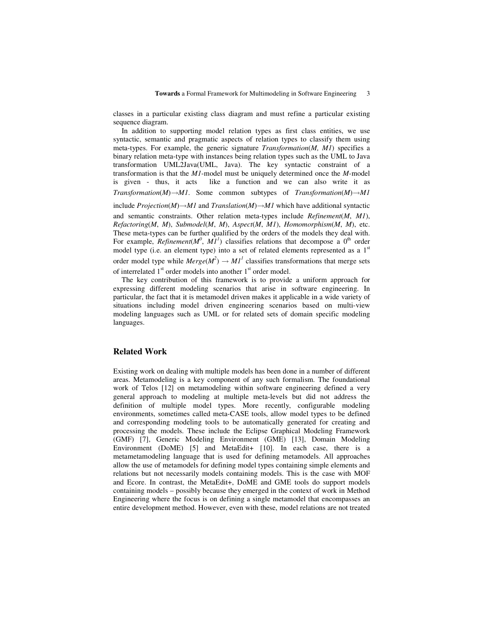classes in a particular existing class diagram and must refine a particular existing sequence diagram.

In addition to supporting model relation types as first class entities, we use syntactic, semantic and pragmatic aspects of relation types to classify them using meta-types. For example, the generic signature *Transformation*(*M, M1*) specifies a binary relation meta-type with instances being relation types such as the UML to Java transformation UML2Java(UML, Java). The key syntactic constraint of a transformation is that the *M1*-model must be uniquely determined once the *M-*model is given - thus, it acts like a function and we can also write it as

*Transformation*( $M$ ) $\rightarrow$  $M1$ . Some common subtypes of *Transformation*( $M$ ) $\rightarrow$  $M1$ 

include *Projection*(*M*) $\rightarrow$ *M1* and *Translation*(*M*) $\rightarrow$ *M1* which have additional syntactic and semantic constraints. Other relation meta-types include *Refinement*(*M*, *M1*), *Refactoring*(*M*, *M*), *Submodel*(*M*, *M*), *Aspect*(*M*, *M1*), *Homomorphism*(*M*, *M*), etc. These meta-types can be further qualified by the orders of the models they deal with. For example, *Refinement*( $M^0$ ,  $M_1^1$ ) classifies relations that decompose a  $0^{\text{th}}$  order model type (i.e. an element type) into a set of related elements represented as a 1<sup>st</sup> order model type while  $Merge(M^2) \rightarrow M1^1$  classifies transformations that merge sets of interrelated 1<sup>st</sup> order models into another 1<sup>st</sup> order model.

The key contribution of this framework is to provide a uniform approach for expressing different modeling scenarios that arise in software engineering. In particular, the fact that it is metamodel driven makes it applicable in a wide variety of situations including model driven engineering scenarios based on multi-view modeling languages such as UML or for related sets of domain specific modeling languages.

# **Related Work**

Existing work on dealing with multiple models has been done in a number of different areas. Metamodeling is a key component of any such formalism. The foundational work of Telos [12] on metamodeling within software engineering defined a very general approach to modeling at multiple meta-levels but did not address the definition of multiple model types. More recently, configurable modeling environments, sometimes called meta-CASE tools, allow model types to be defined and corresponding modeling tools to be automatically generated for creating and processing the models. These include the Eclipse Graphical Modeling Framework (GMF) [7], Generic Modeling Environment (GME) [13], Domain Modeling Environment (DoME) [5] and MetaEdit+ [10]. In each case, there is a metametamodeling language that is used for defining metamodels. All approaches allow the use of metamodels for defining model types containing simple elements and relations but not necessarily models containing models. This is the case with MOF and Ecore. In contrast, the MetaEdit+, DoME and GME tools do support models containing models – possibly because they emerged in the context of work in Method Engineering where the focus is on defining a single metamodel that encompasses an entire development method. However, even with these, model relations are not treated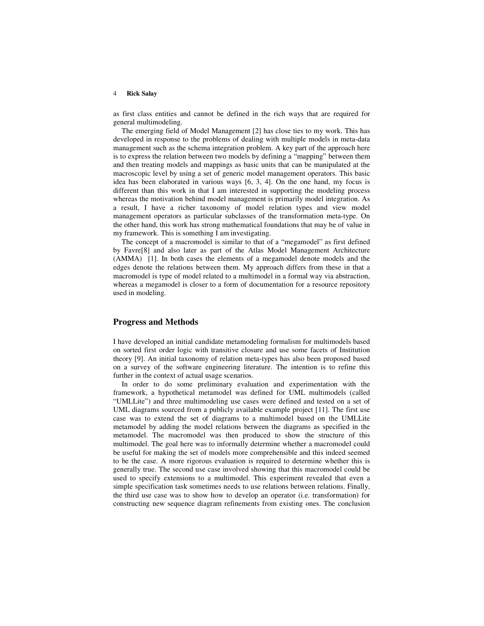#### 4 **Rick Salay**

as first class entities and cannot be defined in the rich ways that are required for general multimodeling.

The emerging field of Model Management [2] has close ties to my work. This has developed in response to the problems of dealing with multiple models in meta-data management such as the schema integration problem. A key part of the approach here is to express the relation between two models by defining a "mapping" between them and then treating models and mappings as basic units that can be manipulated at the macroscopic level by using a set of generic model management operators. This basic idea has been elaborated in various ways [6, 3, 4]. On the one hand, my focus is different than this work in that I am interested in supporting the modeling process whereas the motivation behind model management is primarily model integration. As a result, I have a richer taxonomy of model relation types and view model management operators as particular subclasses of the transformation meta-type. On the other hand, this work has strong mathematical foundations that may be of value in my framework. This is something I am investigating.

The concept of a macromodel is similar to that of a "megamodel" as first defined by Favre[8] and also later as part of the Atlas Model Management Architecture (AMMA) [1]. In both cases the elements of a megamodel denote models and the edges denote the relations between them. My approach differs from these in that a macromodel is type of model related to a multimodel in a formal way via abstraction, whereas a megamodel is closer to a form of documentation for a resource repository used in modeling.

## **Progress and Methods**

I have developed an initial candidate metamodeling formalism for multimodels based on sorted first order logic with transitive closure and use some facets of Institution theory [9]. An initial taxonomy of relation meta-types has also been proposed based on a survey of the software engineering literature. The intention is to refine this further in the context of actual usage scenarios.

In order to do some preliminary evaluation and experimentation with the framework, a hypothetical metamodel was defined for UML multimodels (called "UMLLite") and three multimodeling use cases were defined and tested on a set of UML diagrams sourced from a publicly available example project [11]. The first use case was to extend the set of diagrams to a multimodel based on the UMLLite metamodel by adding the model relations between the diagrams as specified in the metamodel. The macromodel was then produced to show the structure of this multimodel. The goal here was to informally determine whether a macromodel could be useful for making the set of models more comprehensible and this indeed seemed to be the case. A more rigorous evaluation is required to determine whether this is generally true. The second use case involved showing that this macromodel could be used to specify extensions to a multimodel. This experiment revealed that even a simple specification task sometimes needs to use relations between relations. Finally, the third use case was to show how to develop an operator (i.e. transformation) for constructing new sequence diagram refinements from existing ones. The conclusion